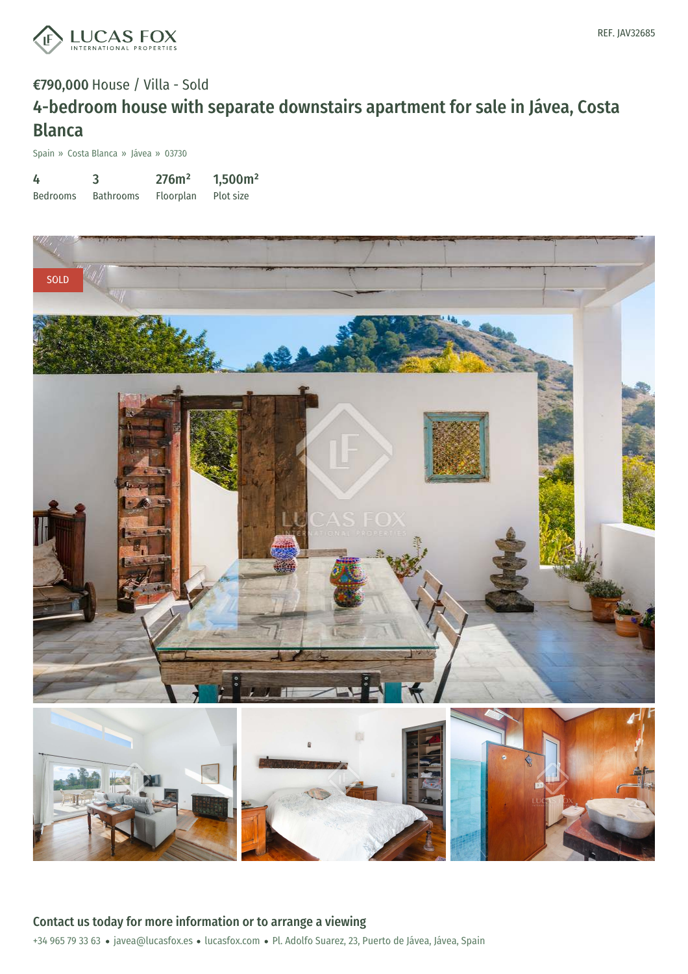

# €790,000 House / Villa - Sold 4-bedroom house with separate downstairs apartment for sale in Jávea, Costa Blanca

Spain » Costa Blanca » Jávea » 03730

| 4               | 3                | 276m <sup>2</sup> | 1,500m <sup>2</sup> |
|-----------------|------------------|-------------------|---------------------|
| <b>Bedrooms</b> | <b>Bathrooms</b> | Floorplan         | Plot size           |

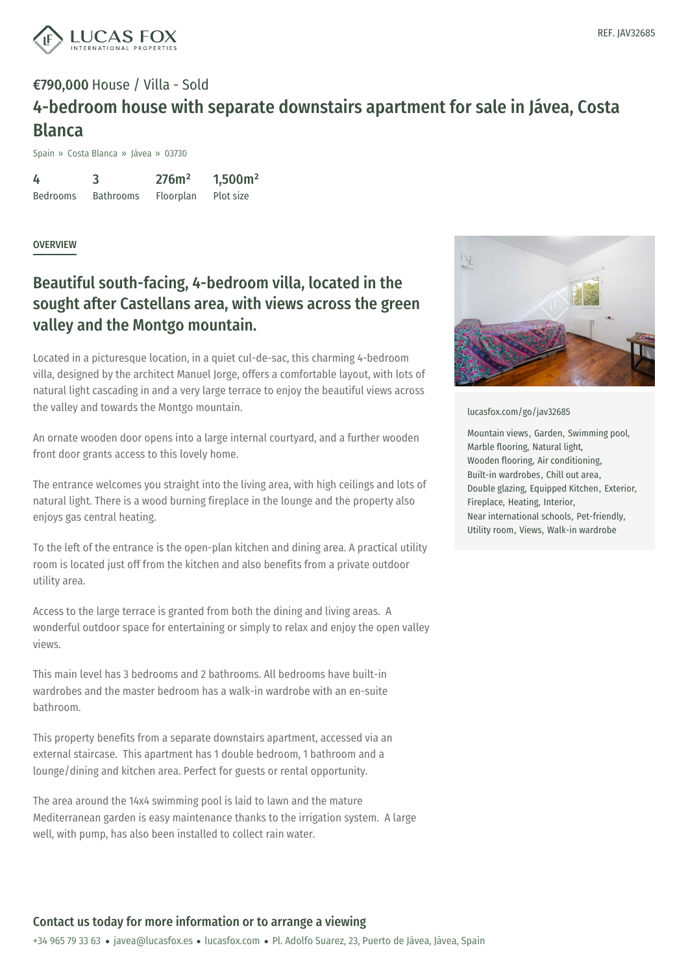

## €790,000 House / Villa - Sold 4-bedroom house with separate downstairs apartment for sale in Jávea, Costa Blanca

Spain » Costa Blanca » Jávea » 03730

4 Bedrooms 3 Bathrooms 276m² Floorplan 1,500m² Plot size

**OVERVIEW** 

### Beautiful south-facing, 4-bedroom villa, located in the sought after Castellans area, with views across the green valley and the Montgo mountain.

Located in a picturesque location, in a quiet cul-de-sac, this charming 4-bedroom villa, designed by the architect Manuel Jorge, offers a comfortable layout, with lots of natural light cascading in and a very large terrace to enjoy the beautiful views across the valley and towards the Montgo mountain.

An ornate wooden door opens into a large internal courtyard, and a further wooden front door grants access to this lovely home.

The entrance welcomes you straight into the living area, with high ceilings and lots of natural light. There is a wood burning fireplace in the lounge and the property also enjoys gas central heating.

To the left of the entrance is the open-plan kitchen and dining area. A practical utility room is located just off from the kitchen and also benefits from a private outdoor utility area.

Access to the large terrace is granted from both the dining and living areas. A wonderful outdoor space for entertaining or simply to relax and enjoy the open valley views.

This main level has 3 bedrooms and 2 bathrooms. All bedrooms have built-in wardrobes and the master bedroom has a walk-in wardrobe with an en-suite bathroom.

This property benefits from a separate downstairs apartment, accessed via an external staircase. This apartment has 1 double bedroom, 1 bathroom and a lounge/dining and kitchen area. Perfect for guests or rental opportunity.

The area around the 14x4 swimming pool is laid to lawn and the mature Mediterranean garden is easy maintenance thanks to the irrigation system. A large well, with pump, has also been installed to collect rain water.



[lucasfox.com/go/jav32685](https://www.lucasfox.com/go/jav32685)

Mountain views, Garden, Swimming pool, Marble flooring, Natural light, Wooden flooring, Air conditioning, Built-in wardrobes, Chill out area, Double glazing, Equipped Kitchen, Exterior, Fireplace, Heating, Interior, Near international schools, Pet-friendly, Utility room, Views, Walk-in wardrobe

#### Contact us today for more information or to arrange a viewing

+34 965 79 33 63 · javea@lucasfox.es · lucasfox.com · Pl. Adolfo Suarez, 23, Puerto de Jávea, Jávea, Spain